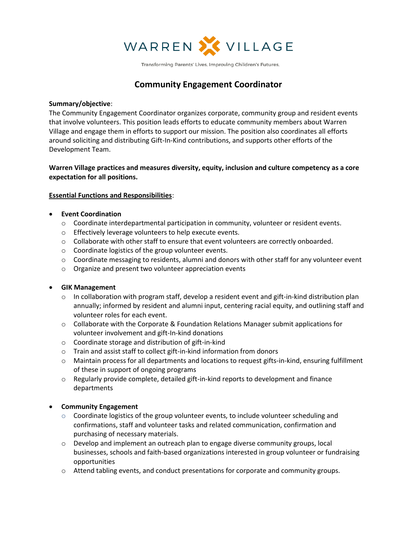

Transforming Parents' Lives. Improving Children's Futures.

# **Community Engagement Coordinator**

#### **Summary/objective**:

The Community Engagement Coordinator organizes corporate, community group and resident events that involve volunteers. This position leads efforts to educate community members about Warren Village and engage them in efforts to support our mission. The position also coordinates all efforts around soliciting and distributing Gift-In-Kind contributions, and supports other efforts of the Development Team.

### **Warren Village practices and measures diversity, equity, inclusion and culture competency as a core expectation for all positions.**

#### **Essential Functions and Responsibilities**:

#### • **Event Coordination**

- o Coordinate interdepartmental participation in community, volunteer or resident events.
- o Effectively leverage volunteers to help execute events.
- $\circ$  Collaborate with other staff to ensure that event volunteers are correctly onboarded.
- o Coordinate logistics of the group volunteer events.
- $\circ$  Coordinate messaging to residents, alumni and donors with other staff for any volunteer event
- o Organize and present two volunteer appreciation events

#### • **GIK Management**

- $\circ$  In collaboration with program staff, develop a resident event and gift-in-kind distribution plan annually; informed by resident and alumni input, centering racial equity, and outlining staff and volunteer roles for each event.
- $\circ$  Collaborate with the Corporate & Foundation Relations Manager submit applications for volunteer involvement and gift-In-kind donations
- o Coordinate storage and distribution of gift-in-kind
- o Train and assist staff to collect gift-in-kind information from donors
- $\circ$  Maintain process for all departments and locations to request gifts-in-kind, ensuring fulfillment of these in support of ongoing programs
- $\circ$  Regularly provide complete, detailed gift-in-kind reports to development and finance departments

#### • **Community Engagement**

- $\circ$  Coordinate logistics of the group volunteer events, to include volunteer scheduling and confirmations, staff and volunteer tasks and related communication, confirmation and purchasing of necessary materials.
- $\circ$  Develop and implement an outreach plan to engage diverse community groups, local businesses, schools and faith-based organizations interested in group volunteer or fundraising opportunities
- o Attend tabling events, and conduct presentations for corporate and community groups.